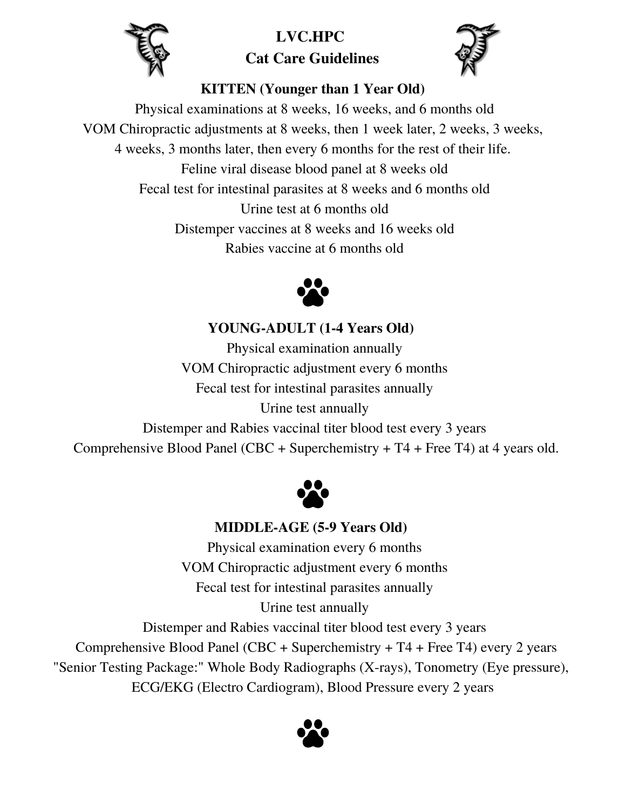

# $LVC.HPC$ **Cat Care Guidelines**



## **KITTEN (Younger than 1 Year Old)**

Physical examinations at 8 weeks, 16 weeks, and 6 months old VOM Chiropractic adjustments at 8 weeks, then 1 week later, 2 weeks, 3 weeks, 4 weeks, 3 months later, then every 6 months for the rest of their life. Feline viral disease blood panel at 8 weeks old Fecal test for intestinal parasites at 8 weeks and 6 months old Urine test at 6 months old Distemper vaccines at 8 weeks and 16 weeks old Rabies vaccine at 6 months old



**YOUNG-ADULT (1-4 Years Old)**

Physical examination annually VOM Chiropractic adjustment every 6 months Fecal test for intestinal parasites annually Urine test annually Distemper and Rabies vaccinal titer blood test every 3 years

Comprehensive Blood Panel (CBC + Superchemistry + T4 + Free T4) at 4 years old.



#### **MIDDLE-AGE (5-9 Years Old)**

Physical examination every 6 months VOM Chiropractic adjustment every 6 months Fecal test for intestinal parasites annually Urine test annually

Distemper and Rabies vaccinal titer blood test every 3 years

Comprehensive Blood Panel (CBC + Superchemistry + T4 + Free T4) every 2 years

"Senior Testing Package:" Whole Body Radiographs (X-rays), Tonometry (Eye pressure),

ECG/EKG (Electro Cardiogram), Blood Pressure every 2 years